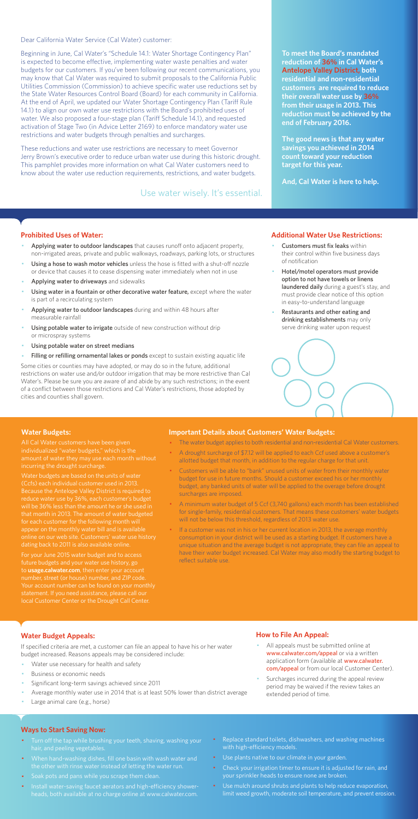Dear California Water Service (Cal Water) customer:

Beginning in June, Cal Water's "Schedule 14.1: Water Shortage Contingency Plan" is expected to become effective, implementing water waste penalties and water budgets for our customers. If you've been following our recent communications, you may know that Cal Water was required to submit proposals to the California Public Utilities Commission (Commission) to achieve specific water use reductions set by the State Water Resources Control Board (Board) for each community in California. At the end of April, we updated our Water Shortage Contingency Plan (Tariff Rule 14.1) to align our own water use restrictions with the Board's prohibited uses of water. We also proposed a four-stage plan (Tariff Schedule 14.1), and requested activation of Stage Two (in Advice Letter 2169) to enforce mandatory water use restrictions and water budgets through penalties and surcharges.

These reductions and water use restrictions are necessary to meet Governor Jerry Brown's executive order to reduce urban water use during this historic drought. This pamphlet provides more information on what Cal Water customers need to know about the water use reduction requirements, restrictions, and water budgets.

#### **Prohibited Uses of Water:**

- Applying water to outdoor landscapes that causes runoff onto adjacent property, non-irrigated areas, private and public walkways, roadways, parking lots, or structures
- Using a hose to wash motor vehicles unless the hose is fitted with a shut-off nozzle or device that causes it to cease dispensing water immediately when not in use
- Applying water to driveways and sidewalks
- Using water in a fountain or other decorative water feature, except where the water is part of a recirculating system
- Applying water to outdoor landscapes during and within 48 hours after measurable rainfall
- Using potable water to irrigate outside of new construction without drip or microspray systems
- Using potable water on street medians
- Filling or refilling ornamental lakes or ponds except to sustain existing aquatic life
- Customers must fix leaks within their control within five business days of notification
- Hotel/motel operators must provide option to not have towels or linens laundered daily during a guest's stay, and must provide clear notice of this option in easy-to-understand language
- Restaurants and other eating and drinking establishments may only serve drinking water upon request



- All appeals must be submitted online at www.calwater.com/appeal or via a written application form (available at www.calwater. com/appeal or from our local Customer Center).
- · Surcharges incurred during the appeal review period may be waived if the review takes an extended period of time.

Some cities or counties may have adopted, or may do so in the future, additional restrictions on water use and/or outdoor irrigation that may be more restrictive than Cal Water's. Please be sure you are aware of and abide by any such restrictions; in the event of a conflict between those restrictions and Cal Water's restrictions, those adopted by cities and counties shall govern.

- Turn off the tap while brushing your teeth, shaving, washing your hair, and peeling vegetables.
- · When hand-washing dishes, fill one basin with wash water and the other with rinse water instead of letting the water run.
- · Soak pots and pans while you scrape them clean.
- · Install water-saving faucet aerators and high-efficiency showerheads, both available at no charge online at www.calwater.com.
- Replace standard toilets, dishwashers, and washing machines with high-efficiency models.
- · Use plants native to our climate in your garden.
- Check your irrigation timer to ensure it is adjusted for rain, and your sprinkler heads to ensure none are broken.
- · Use mulch around shrubs and plants to help reduce evaporation, limit weed growth, moderate soil temperature, and prevent erosion.

**To meet the Board's mandated reduction of 36% in Cal Water's Antelope Valley District, both residential and non-residential customers are required to reduce their overall water use by 36% from their usage in 2013. This reduction must be achieved by the end of February 2016.** 

**The good news is that any water savings you achieved in 2014 count toward your reduction target for this year.** 

**And, Cal Water is here to help.** 

#### **Additional Water Use Restrictions:**

### **Water Budget Appeals:**

If specified criteria are met, a customer can file an appeal to have his or her water budget increased. Reasons appeals may be considered include:

- Water use necessary for health and safety
- Business or economic needs
- Significant long-term savings achieved since 2011
- Average monthly water use in 2014 that is at least 50% lower than district average
- Large animal care (e.g., horse)

If a customer was not in his or her current location in 2013, the average monthly consumption in your district will be used as a starting budget. If customers have a unique situation and the average budget is not appropriate, they can file an appeal to have their water budget increased. Cal Water may also modify the starting budget to reflect suitable use.

## **How to File An Appeal:**

#### **Ways to Start Saving Now:**

Use water wisely. It's essential.

#### **Water Budgets:**

individualized "water budgets," which is the incurring the drought surcharge.

Water budgets are based on the units of water Because the Antelope Valley District is required to reduce water use by 36%, each customer's budget that month in 2013. The amount of water budgeted for each customer for the following month will appear on the monthly water bill and is available dating back to 2011 is also available online.

For your June 2015 water budget and to access future budgets and your water use history, go to **usage.calwater.com**, then enter your account number, street (or house) number, and ZIP code. local Customer Center or the Drought Call Center.

#### **Important Details about Customers' Water Budgets:**

- · The water budget applies to both residential and non-residential Cal Water customers.
- · A drought surcharge of \$7.12 will be applied to each Ccf used above a customer's allotted budget that month, in addition to the regular charge for that unit.
- · Customers will be able to "bank" unused units of water from their monthly water budget for use in future months. Should a customer exceed his or her monthly budget, any banked units of water will be applied to the overage before drought surcharges are imposed.
- · A minimum water budget of 5 Ccf (3,740 gallons) each month has been established for single-family, residential customers. That means these customers' water budgets will not be below this threshold, regardless of 2013 water use.